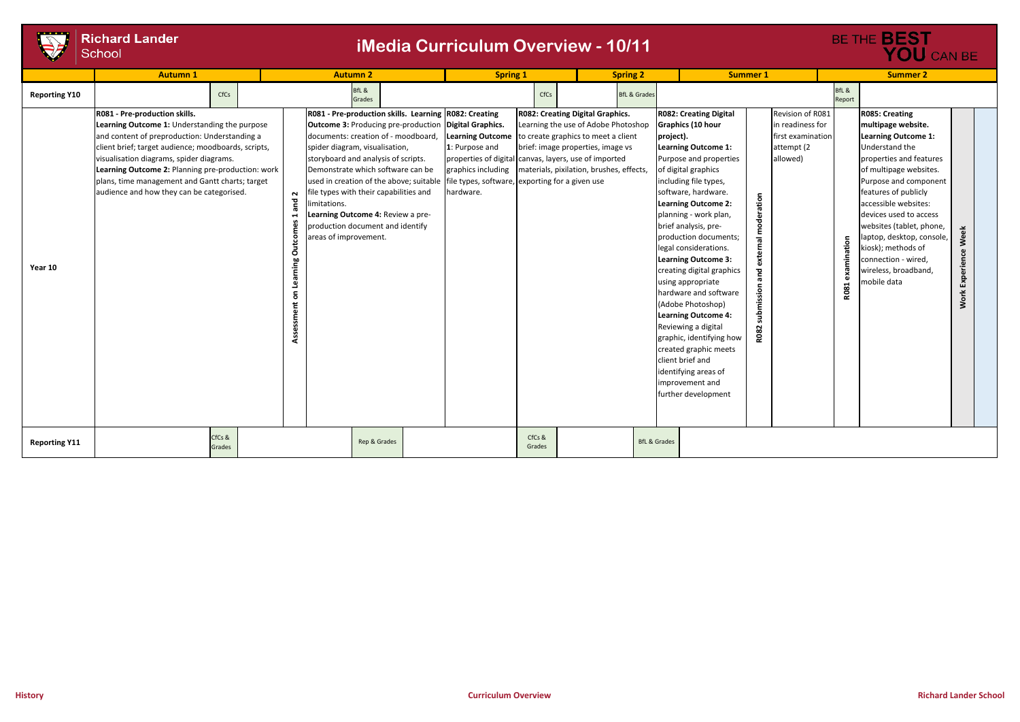**Work Experience Week**

Work Experience Week

| BE THE <b>BEST</b><br><b>YOU</b> CAN BE |                 |                            |  |  |  |  |  |
|-----------------------------------------|-----------------|----------------------------|--|--|--|--|--|
| <b>Summer 2</b>                         |                 |                            |  |  |  |  |  |
|                                         | BfL &<br>Report |                            |  |  |  |  |  |
| Revision of R081                        |                 | <b>R085: Creating</b>      |  |  |  |  |  |
| in readiness for                        |                 | multipage website.         |  |  |  |  |  |
| first examination                       |                 | <b>Learning Outcome 1:</b> |  |  |  |  |  |
| attempt (2)                             |                 | Understand the             |  |  |  |  |  |
| allowed)                                |                 | properties and features    |  |  |  |  |  |
|                                         |                 | of multipage websites.     |  |  |  |  |  |

Purpose and component features of publicly accessible websites: devices used to access websites (tablet, phone, laptop, desktop, console, kiosk); methods of connection - wired, wireless, broadband,

|                      | <b>Autumn 1</b>                                                                                                                                                                                                                                                                                                                                                                         | <b>Autumn 2</b>                                                 |                                                                                                                                                                                                                                                                                                                                                                                                                        |                                                                                                                                                                                                                                      | <b>Spring 1</b>  |                                                                                                                                                                                                        | <b>Spring 2</b>         |                                                                                                                                                                                                                                                                                                                                                                                                                                                                                                                                                                                                                                                  | <b>Summer 1</b>                |                                                                                      | <b>Summer 2</b>      |                                                                                                                                                                                                                                                                                                                                                                |
|----------------------|-----------------------------------------------------------------------------------------------------------------------------------------------------------------------------------------------------------------------------------------------------------------------------------------------------------------------------------------------------------------------------------------|-----------------------------------------------------------------|------------------------------------------------------------------------------------------------------------------------------------------------------------------------------------------------------------------------------------------------------------------------------------------------------------------------------------------------------------------------------------------------------------------------|--------------------------------------------------------------------------------------------------------------------------------------------------------------------------------------------------------------------------------------|------------------|--------------------------------------------------------------------------------------------------------------------------------------------------------------------------------------------------------|-------------------------|--------------------------------------------------------------------------------------------------------------------------------------------------------------------------------------------------------------------------------------------------------------------------------------------------------------------------------------------------------------------------------------------------------------------------------------------------------------------------------------------------------------------------------------------------------------------------------------------------------------------------------------------------|--------------------------------|--------------------------------------------------------------------------------------|----------------------|----------------------------------------------------------------------------------------------------------------------------------------------------------------------------------------------------------------------------------------------------------------------------------------------------------------------------------------------------------------|
| <b>Reporting Y10</b> | CfCs                                                                                                                                                                                                                                                                                                                                                                                    |                                                                 | BfL &<br>Grades                                                                                                                                                                                                                                                                                                                                                                                                        |                                                                                                                                                                                                                                      | CfCs             |                                                                                                                                                                                                        | <b>BfL &amp; Grades</b> |                                                                                                                                                                                                                                                                                                                                                                                                                                                                                                                                                                                                                                                  |                                |                                                                                      | BfL &<br>Report      |                                                                                                                                                                                                                                                                                                                                                                |
| Year 10              | R081 - Pre-production skills.<br>Learning Outcome 1: Understanding the purpose<br>and content of preproduction: Understanding a<br>client brief; target audience; moodboards, scripts,<br>visualisation diagrams, spider diagrams.<br>Learning Outcome 2: Planning pre-production: work<br>plans, time management and Gantt charts; target<br>audience and how they can be categorised. | $\sim$<br>and<br>imitations.<br>Assessment on Learning Outcomes | R081 - Pre-production skills. Learning R082: Creating<br><b>Outcome 3: Producing pre-production Digital Graphics.</b><br>documents: creation of - moodboard,<br>spider diagram, visualisation,<br>storyboard and analysis of scripts.<br>Demonstrate which software can be<br>file types with their capabilities and<br>Learning Outcome 4: Review a pre-<br>production document and identify<br>areas of improvement. | <b>Learning Outcome</b><br>1: Purpose and<br>properties of digital canvas, layers, use of imported<br>graphics including<br>used in creation of the above; suitable   file types, software,   exporting for a given use<br>hardware. |                  | <b>R082: Creating Digital Graphics.</b><br>Learning the use of Adobe Photoshop<br>to create graphics to meet a client<br>brief: image properties, image vs<br>materials, pixilation, brushes, effects, | project).               | <b>R082: Creating Digital</b><br>Graphics (10 hour<br><b>Learning Outcome 1:</b><br>Purpose and properties<br>of digital graphics<br>including file types,<br>software, hardware.<br><b>Learning Outcome 2:</b><br>planning - work plan,<br>brief analysis, pre-<br>production documents;<br>legal considerations.<br><b>Learning Outcome 3:</b><br>creating digital graphics<br>using appropriate<br>hardware and software<br>(Adobe Photoshop)<br><b>Learning Outcome 4:</b><br>Reviewing a digital<br>graphic, identifying how<br>created graphic meets<br>client brief and<br>identifying areas of<br>improvement and<br>further development | ration<br>moder<br><b>R082</b> | Revision of R081<br>in readiness for<br>first examination<br>attempt (2)<br>allowed) | ation<br>еха<br>R081 | <b>R085: Creating</b><br>multipage website<br><b>Learning Outcome</b><br>Understand the<br>properties and feat<br>of multipage websi<br>Purpose and comp<br>features of publicly<br>accessible websites<br>devices used to acc<br>websites (tablet, pl<br>aptop, desktop, co<br>kiosk); methods of<br>connection - wired,<br>wireless, broadban<br>mobile data |
| <b>Reporting Y11</b> | CfCs &<br>Grades                                                                                                                                                                                                                                                                                                                                                                        |                                                                 | Rep & Grades                                                                                                                                                                                                                                                                                                                                                                                                           |                                                                                                                                                                                                                                      | CfCs &<br>Grades |                                                                                                                                                                                                        | <b>BfL &amp; Grades</b> |                                                                                                                                                                                                                                                                                                                                                                                                                                                                                                                                                                                                                                                  |                                |                                                                                      |                      |                                                                                                                                                                                                                                                                                                                                                                |

## **Richard Lander** School

## **iMedia Curriculum Overview - 10/11**